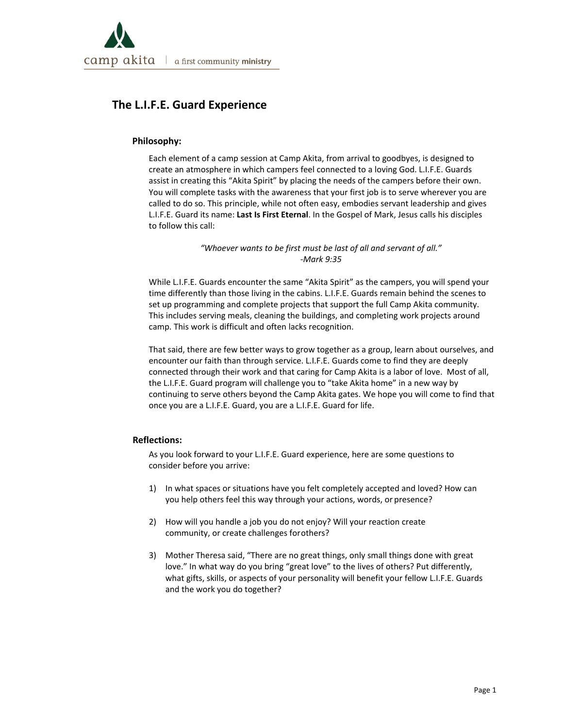

# **The L.I.F.E. Guard Experience**

## **Philosophy:**

Each element of a camp session at Camp Akita, from arrival to goodbyes, is designed to create an atmosphere in which campers feel connected to a loving God. L.I.F.E. Guards assist in creating this "Akita Spirit" by placing the needs of the campers before their own. You will complete tasks with the awareness that your first job is to serve wherever you are called to do so. This principle, while not often easy, embodies servant leadership and gives L.I.F.E. Guard its name: **Last Is First Eternal**. In the Gospel of Mark, Jesus calls his disciples to follow this call:

> *"Whoever wants to be first must be last of all and servant of all." ‐Mark 9:35*

While L.I.F.E. Guards encounter the same "Akita Spirit" as the campers, you will spend your time differently than those living in the cabins. L.I.F.E. Guards remain behind the scenes to set up programming and complete projects that support the full Camp Akita community. This includes serving meals, cleaning the buildings, and completing work projects around camp. This work is difficult and often lacks recognition.

That said, there are few better ways to grow together as a group, learn about ourselves, and encounter our faith than through service. L.I.F.E. Guards come to find they are deeply connected through their work and that caring for Camp Akita is a labor of love. Most of all, the L.I.F.E. Guard program will challenge you to "take Akita home" in a new way by continuing to serve others beyond the Camp Akita gates. We hope you will come to find that once you are a L.I.F.E. Guard, you are a L.I.F.E. Guard for life.

## **Reflections:**

As you look forward to your L.I.F.E. Guard experience, here are some questions to consider before you arrive:

- 1) In what spaces or situations have you felt completely accepted and loved? How can you help others feel this way through your actions, words, or presence?
- 2) How will you handle a job you do not enjoy? Will your reaction create community, or create challenges forothers?
- 3) Mother Theresa said, "There are no great things, only small things done with great love." In what way do you bring "great love" to the lives of others? Put differently, what gifts, skills, or aspects of your personality will benefit your fellow L.I.F.E. Guards and the work you do together?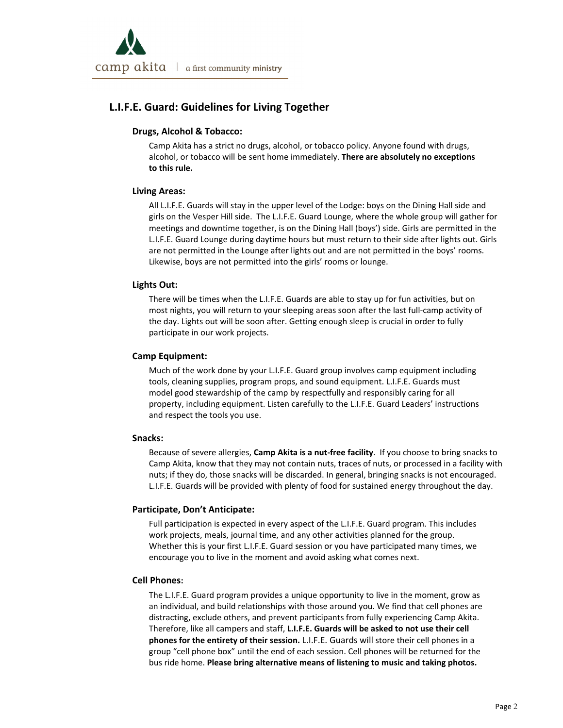

## **L.I.F.E. Guard: Guidelines for Living Together**

## **Drugs, Alcohol & Tobacco:**

Camp Akita has a strict no drugs, alcohol, or tobacco policy. Anyone found with drugs, alcohol, or tobacco will be sent home immediately. **There are absolutely no exceptions to this rule.**

## **Living Areas:**

All L.I.F.E. Guards will stay in the upper level of the Lodge: boys on the Dining Hall side and girls on the Vesper Hill side. The L.I.F.E. Guard Lounge, where the whole group will gather for meetings and downtime together, is on the Dining Hall (boys') side. Girls are permitted in the L.I.F.E. Guard Lounge during daytime hours but must return to their side after lights out. Girls are not permitted in the Lounge after lights out and are not permitted in the boys' rooms. Likewise, boys are not permitted into the girls' rooms or lounge.

## **Lights Out:**

There will be times when the L.I.F.E. Guards are able to stay up for fun activities, but on most nights, you will return to your sleeping areas soon after the last full‐camp activity of the day. Lights out will be soon after. Getting enough sleep is crucial in order to fully participate in our work projects.

## **Camp Equipment:**

Much of the work done by your L.I.F.E. Guard group involves camp equipment including tools, cleaning supplies, program props, and sound equipment. L.I.F.E. Guards must model good stewardship of the camp by respectfully and responsibly caring for all property, including equipment. Listen carefully to the L.I.F.E. Guard Leaders' instructions and respect the tools you use.

#### **Snacks:**

Because of severe allergies, **Camp Akita is a nut‐free facility**. If you choose to bring snacks to Camp Akita, know that they may not contain nuts, traces of nuts, or processed in a facility with nuts; if they do, those snacks will be discarded. In general, bringing snacks is not encouraged. L.I.F.E. Guards will be provided with plenty of food for sustained energy throughout the day.

#### **Participate, Don't Anticipate:**

Full participation is expected in every aspect of the L.I.F.E. Guard program. This includes work projects, meals, journal time, and any other activities planned for the group. Whether this is your first L.I.F.E. Guard session or you have participated many times, we encourage you to live in the moment and avoid asking what comes next.

#### **Cell Phones:**

The L.I.F.E. Guard program provides a unique opportunity to live in the moment, grow as an individual, and build relationships with those around you. We find that cell phones are distracting, exclude others, and prevent participants from fully experiencing Camp Akita. Therefore, like all campers and staff, **L.I.F.E. Guards will be asked to not use their cell phones for the entirety of their session.** L.I.F.E. Guards will store their cell phones in a group "cell phone box" until the end of each session. Cell phones will be returned for the bus ride home. **Please bring alternative means of listening to music and taking photos.**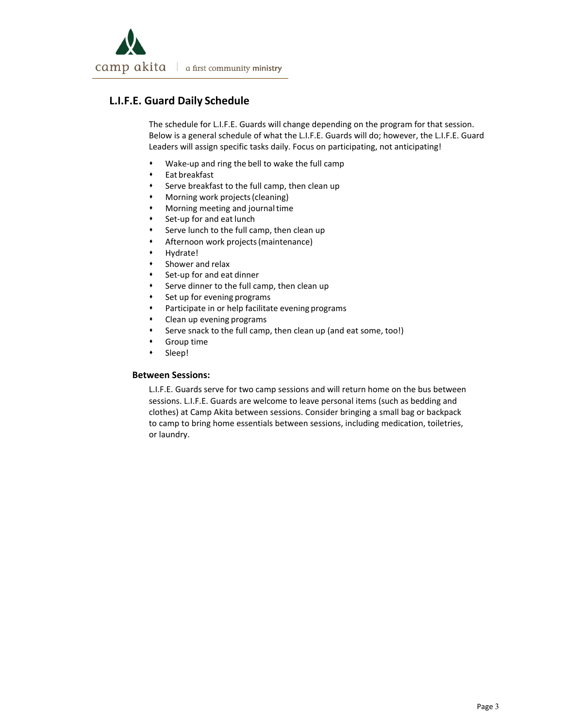

## **L.I.F.E. Guard Daily Schedule**

The schedule for L.I.F.E. Guards will change depending on the program for that session. Below is a general schedule of what the L.I.F.E. Guards will do; however, the L.I.F.E. Guard Leaders will assign specific tasks daily. Focus on participating, not anticipating!

- Wake‐up and ring the bell to wake the full camp
- Eat breakfast
- Serve breakfast to the full camp, then clean up
- Morning work projects(cleaning)
- Morning meeting and journaltime
- Set‐up for and eat lunch
- Serve lunch to the full camp, then clean up
- Afternoon work projects(maintenance)
- Hydrate!
- Shower and relax
- Set-up for and eat dinner
- Serve dinner to the full camp, then clean up
- Set up for evening programs
- Participate in or help facilitate evening programs
- Clean up evening programs
- Serve snack to the full camp, then clean up (and eat some, too!)
- Group time
- Sleep!

### **Between Sessions:**

L.I.F.E. Guards serve for two camp sessions and will return home on the bus between sessions. L.I.F.E. Guards are welcome to leave personal items (such as bedding and clothes) at Camp Akita between sessions. Consider bringing a small bag or backpack to camp to bring home essentials between sessions, including medication, toiletries, or laundry.